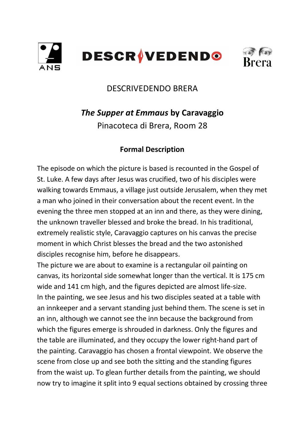



## DESCRIVEDENDO BRERA

# *The Supper at Emmaus* **by Caravaggio**

Pinacoteca di Brera, Room 28

## **Formal Description**

The episode on which the picture is based is recounted in the Gospel of St. Luke. A few days after Jesus was crucified, two of his disciples were walking towards Emmaus, a village just outside Jerusalem, when they met a man who joined in their conversation about the recent event. In the evening the three men stopped at an inn and there, as they were dining, the unknown traveller blessed and broke the bread. In his traditional, extremely realistic style, Caravaggio captures on his canvas the precise moment in which Christ blesses the bread and the two astonished disciples recognise him, before he disappears.

The picture we are about to examine is a rectangular oil painting on canvas, its horizontal side somewhat longer than the vertical. It is 175 cm wide and 141 cm high, and the figures depicted are almost life-size. In the painting, we see Jesus and his two disciples seated at a table with an innkeeper and a servant standing just behind them. The scene is set in an inn, although we cannot see the inn because the background from which the figures emerge is shrouded in darkness. Only the figures and the table are illuminated, and they occupy the lower right-hand part of the painting. Caravaggio has chosen a frontal viewpoint. We observe the scene from close up and see both the sitting and the standing figures from the waist up. To glean further details from the painting, we should now try to imagine it split into 9 equal sections obtained by crossing three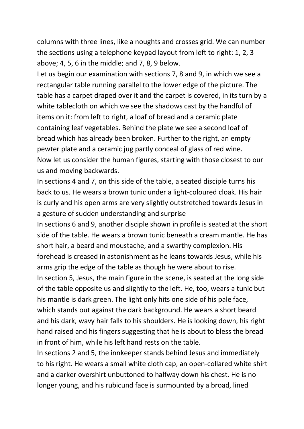columns with three lines, like a noughts and crosses grid. We can number the sections using a telephone keypad layout from left to right: 1, 2, 3 above; 4, 5, 6 in the middle; and 7, 8, 9 below.

Let us begin our examination with sections 7, 8 and 9, in which we see a rectangular table running parallel to the lower edge of the picture. The table has a carpet draped over it and the carpet is covered, in its turn by a white tablecloth on which we see the shadows cast by the handful of items on it: from left to right, a loaf of bread and a ceramic plate containing leaf vegetables. Behind the plate we see a second loaf of bread which has already been broken. Further to the right, an empty pewter plate and a ceramic jug partly conceal of glass of red wine. Now let us consider the human figures, starting with those closest to our us and moving backwards.

In sections 4 and 7, on this side of the table, a seated disciple turns his back to us. He wears a brown tunic under a light-coloured cloak. His hair is curly and his open arms are very slightly outstretched towards Jesus in a gesture of sudden understanding and surprise

In sections 6 and 9, another disciple shown in profile is seated at the short side of the table. He wears a brown tunic beneath a cream mantle. He has short hair, a beard and moustache, and a swarthy complexion. His forehead is creased in astonishment as he leans towards Jesus, while his arms grip the edge of the table as though he were about to rise.

In section 5, Jesus, the main figure in the scene, is seated at the long side of the table opposite us and slightly to the left. He, too, wears a tunic but his mantle is dark green. The light only hits one side of his pale face, which stands out against the dark background. He wears a short beard and his dark, wavy hair falls to his shoulders. He is looking down, his right hand raised and his fingers suggesting that he is about to bless the bread in front of him, while his left hand rests on the table.

In sections 2 and 5, the innkeeper stands behind Jesus and immediately to his right. He wears a small white cloth cap, an open-collared white shirt and a darker overshirt unbuttoned to halfway down his chest. He is no longer young, and his rubicund face is surmounted by a broad, lined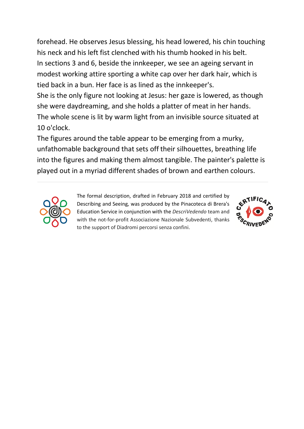forehead. He observes Jesus blessing, his head lowered, his chin touching his neck and his left fist clenched with his thumb hooked in his belt. In sections 3 and 6, beside the innkeeper, we see an ageing servant in modest working attire sporting a white cap over her dark hair, which is tied back in a bun. Her face is as lined as the innkeeper's.

She is the only figure not looking at Jesus: her gaze is lowered, as though she were daydreaming, and she holds a platter of meat in her hands. The whole scene is lit by warm light from an invisible source situated at 10 o'clock.

The figures around the table appear to be emerging from a murky, unfathomable background that sets off their silhouettes, breathing life into the figures and making them almost tangible. The painter's palette is played out in a myriad different shades of brown and earthen colours.



The formal description, drafted in February 2018 and certified by Describing and Seeing, was produced by the Pinacoteca di Brera's Education Service in conjunction with the *DescriVedendo* team and with the not-for-profit Associazione Nazionale Subvedenti, thanks to the support of Diadromi percorsi senza confini.

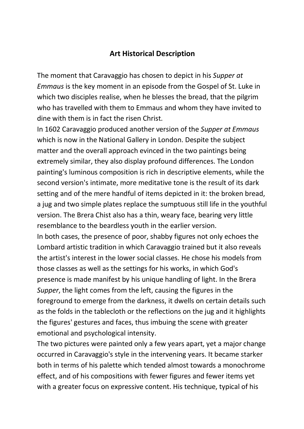### **Art Historical Description**

The moment that Caravaggio has chosen to depict in his *Supper at Emmaus* is the key moment in an episode from the Gospel of St. Luke in which two disciples realise, when he blesses the bread, that the pilgrim who has travelled with them to Emmaus and whom they have invited to dine with them is in fact the risen Christ.

In 1602 Caravaggio produced another version of the *Supper at Emmaus* which is now in the National Gallery in London. Despite the subject matter and the overall approach evinced in the two paintings being extremely similar, they also display profound differences. The London painting's luminous composition is rich in descriptive elements, while the second version's intimate, more meditative tone is the result of its dark setting and of the mere handful of items depicted in it: the broken bread, a jug and two simple plates replace the sumptuous still life in the youthful version. The Brera Chist also has a thin, weary face, bearing very little resemblance to the beardless youth in the earlier version.

In both cases, the presence of poor, shabby figures not only echoes the Lombard artistic tradition in which Caravaggio trained but it also reveals the artist's interest in the lower social classes. He chose his models from those classes as well as the settings for his works, in which God's presence is made manifest by his unique handling of light. In the Brera *Supper*, the light comes from the left, causing the figures in the foreground to emerge from the darkness, it dwells on certain details such as the folds in the tablecloth or the reflections on the jug and it highlights the figures' gestures and faces, thus imbuing the scene with greater emotional and psychological intensity.

The two pictures were painted only a few years apart, yet a major change occurred in Caravaggio's style in the intervening years. It became starker both in terms of his palette which tended almost towards a monochrome effect, and of his compositions with fewer figures and fewer items yet with a greater focus on expressive content. His technique, typical of his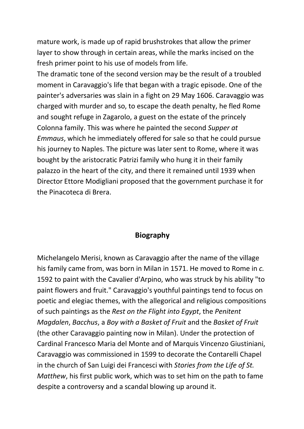mature work, is made up of rapid brushstrokes that allow the primer layer to show through in certain areas, while the marks incised on the fresh primer point to his use of models from life.

The dramatic tone of the second version may be the result of a troubled moment in Caravaggio's life that began with a tragic episode. One of the painter's adversaries was slain in a fight on 29 May 1606. Caravaggio was charged with murder and so, to escape the death penalty, he fled Rome and sought refuge in Zagarolo, a guest on the estate of the princely Colonna family. This was where he painted the second *Supper at Emmaus*, which he immediately offered for sale so that he could pursue his journey to Naples. The picture was later sent to Rome, where it was bought by the aristocratic Patrizi family who hung it in their family palazzo in the heart of the city, and there it remained until 1939 when Director Ettore Modigliani proposed that the government purchase it for the Pinacoteca di Brera.

#### **Biography**

Michelangelo Merisi, known as Caravaggio after the name of the village his family came from, was born in Milan in 1571. He moved to Rome in *c.* 1592 to paint with the Cavalier d'Arpino, who was struck by his ability "to paint flowers and fruit." Caravaggio's youthful paintings tend to focus on poetic and elegiac themes, with the allegorical and religious compositions of such paintings as the *Rest on the Flight into Egypt*, the *Penitent Magdalen*, *Bacchus*, a *Boy with a Basket of Fruit* and the *Basket of Fruit* (the other Caravaggio painting now in Milan). Under the protection of Cardinal Francesco Maria del Monte and of Marquis Vincenzo Giustiniani, Caravaggio was commissioned in 1599 to decorate the Contarelli Chapel in the church of San Luigi dei Francesci with *Stories from the Life of St. Matthew*, his first public work, which was to set him on the path to fame despite a controversy and a scandal blowing up around it.